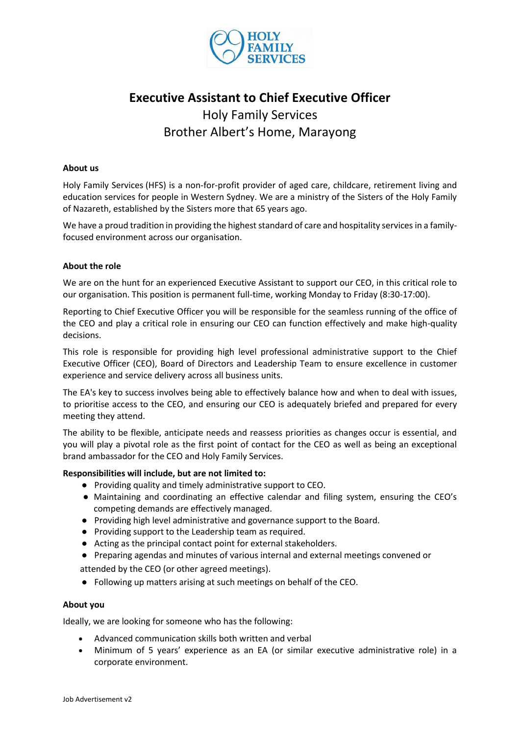

# **Executive Assistant to Chief Executive Officer** Holy Family Services Brother Albert's Home, Marayong

#### **About us**

Holy Family Services (HFS) is a non-for-profit provider of [aged care,](http://www.holyfamilyservices.com.au/aged-care.aspx) childcare, retirement living and education services for people in Western Sydney. We are a ministry of the Sisters of the Holy Family of Nazareth, established by the Sisters more that 65 years ago.

We have a proud tradition in providing the highest standard of care and hospitality services in a familyfocused environment across our organisation.

#### **About the role**

We are on the hunt for an experienced Executive Assistant to support our CEO, in this critical role to our organisation. This position is permanent full-time, working Monday to Friday (8:30-17:00).

Reporting to Chief Executive Officer you will be responsible for the seamless running of the office of the CEO and play a critical role in ensuring our CEO can function effectively and make high-quality decisions.

This role is responsible for providing high level professional administrative support to the Chief Executive Officer (CEO), Board of Directors and Leadership Team to ensure excellence in customer experience and service delivery across all business units.

The EA's key to success involves being able to effectively balance how and when to deal with issues, to prioritise access to the CEO, and ensuring our CEO is adequately briefed and prepared for every meeting they attend.

The ability to be flexible, anticipate needs and reassess priorities as changes occur is essential, and you will play a pivotal role as the first point of contact for the CEO as well as being an exceptional brand ambassador for the CEO and Holy Family Services.

## **Responsibilities will include, but are not limited to:**

- Providing quality and timely administrative support to CEO.
- Maintaining and coordinating an effective calendar and filing system, ensuring the CEO's competing demands are effectively managed.
- Providing high level administrative and governance support to the Board.
- Providing support to the Leadership team as required.
- Acting as the principal contact point for external stakeholders.
- Preparing agendas and minutes of various internal and external meetings convened or attended by the CEO (or other agreed meetings).
- Following up matters arising at such meetings on behalf of the CEO.

## **About you**

Ideally, we are looking for someone who has the following:

- Advanced communication skills both written and verbal
- Minimum of 5 years' experience as an EA (or similar executive administrative role) in a corporate environment.